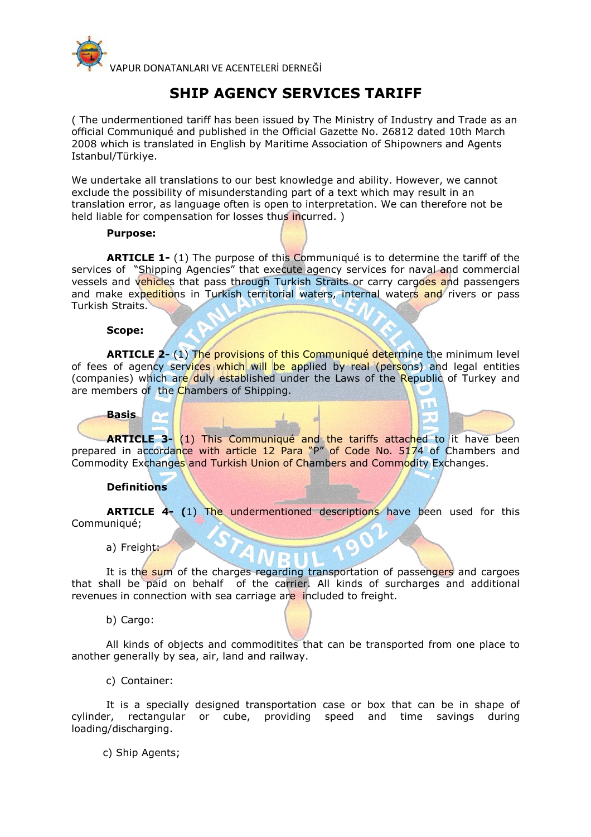

# **SHIP AGENCY SERVICES TARIFF**

( The undermentioned tariff has been issued by The Ministry of Industry and Trade as an official Communiqué and published in the Official Gazette No. 26812 dated 10th March 2008 which is translated in English by Maritime Association of Shipowners and Agents Istanbul/Türkiye.

We undertake all translations to our best knowledge and ability. However, we cannot exclude the possibility of misunderstanding part of a text which may result in an translation error, as language often is open to interpretation. We can therefore not be held liable for compensation for losses thus incurred. )

#### **Purpose:**

**ARTICLE 1-** (1) The purpose of this Communiqué is to determine the tariff of the services of "Shipping Agencies" that execute agency services for naval and commercial vessels and vehicles that pass through Turkish Straits or carry cargoes and passengers and make expeditions in Turkish territorial waters, internal waters and rivers or pass Turkish Straits.

#### **Scope:**

**ARTICLE 2-** (1) The provisions of this Communiqué determine the minimum level of fees of agency services which will be applied by real (persons) and legal entities (companies) which are duly established under the Laws of the Republic of Turkey and are members of the Chambers of Shipping.

# **Basis**

**ARTICLE 3-** (1) This Communiqué and the tariffs attached to it have been prepared in accordance with article 12 Para "P" of Code No. 5174 of Chambers and Commodity Exchanges and Turkish Union of Chambers and Commodity Exchanges.

#### **Definitions**

**ARTICLE 4- (**1) The undermentioned descriptions have been used for this Communiqué;

a) Freight:

It is the sum of the charges regarding transportation of passengers and cargoes that shall be paid on behalf of the carrier. All kinds of surcharges and additional revenues in connection with sea carriage are included to freight.

b) Cargo:

All kinds of objects and commoditites that can be transported from one place to another generally by sea, air, land and railway.

c) Container:

It is a specially designed transportation case or box that can be in shape of cylinder, rectangular or cube, providing speed and time savings during loading/discharging.

c) Ship Agents;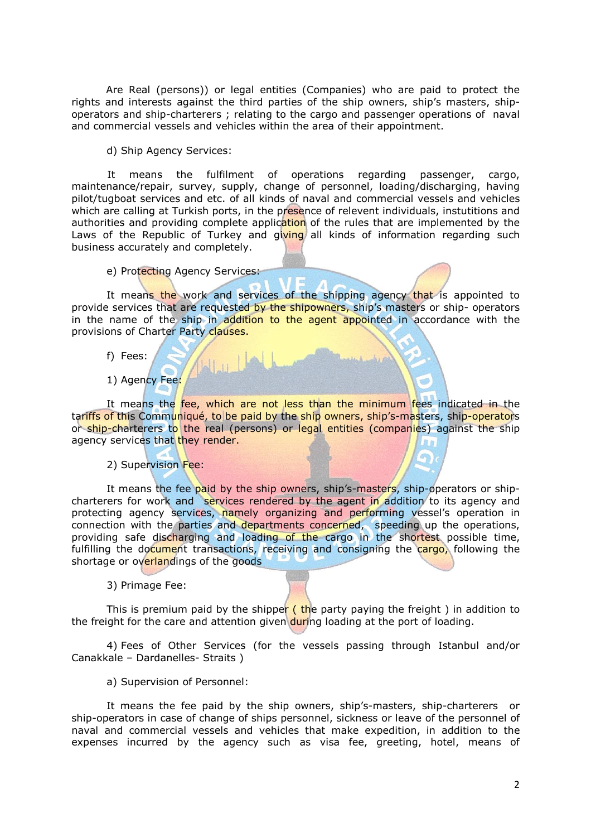Are Real (persons)) or legal entities (Companies) who are paid to protect the rights and interests against the third parties of the ship owners, ship's masters, shipoperators and ship-charterers ; relating to the cargo and passenger operations of naval and commercial vessels and vehicles within the area of their appointment.

d) Ship Agency Services:

It means the fulfilment of operations regarding passenger, cargo, maintenance/repair, survey, supply, change of personnel, loading/discharging, having pilot/tugboat services and etc. of all kinds of naval and commercial vessels and vehicles which are calling at Turkish ports, in the presence of relevent individuals, instutitions and authorities and providing complete application of the rules that are implemented by the Laws of the Republic of Turkey and giving all kinds of information regarding such business accurately and completely.

e) Protecting Agency Services:

 $\sqrt{\log |J|}$ 

It means the work and services of the shipping agency that is appointed to provide services that are requested by the shipowners, ship's masters or ship- operators in the name of the ship in addition to the agent appointed in accordance with the provisions of Charter Party clauses.

- f) Fees:
- 1) Agency Fee:

It means the fee, which are not less than the minimum fees indicated in the tariffs of this Communiqué, to be paid by the ship owners, ship's-masters, ship-operators or ship-charterers to the real (persons) or legal entities (companies) against the ship agency services that they render.

2) Supervision Fee:

It means the fee paid by the ship owners, ship's-masters, ship-operators or shipcharterers for work and services rendered by the agent in addition to its agency and protecting agency services, namely organizing and performing vessel's operation in connection with the parties and departments concerned, speeding up the operations, providing safe discharging and loading of the cargo in the shortest possible time, fulfilling the document transactions, receiving and consigning the cargo, following the shortage or overlandings of the goods

3) Primage Fee:

This is premium paid by the shipper (the party paying the freight) in addition to the freight for the care and attention given during loading at the port of loading.

4) Fees of Other Services (for the vessels passing through Istanbul and/or Canakkale – Dardanelles- Straits )

a) Supervision of Personnel:

It means the fee paid by the ship owners, ship's-masters, ship-charterers or ship-operators in case of change of ships personnel, sickness or leave of the personnel of naval and commercial vessels and vehicles that make expedition, in addition to the expenses incurred by the agency such as visa fee, greeting, hotel, means of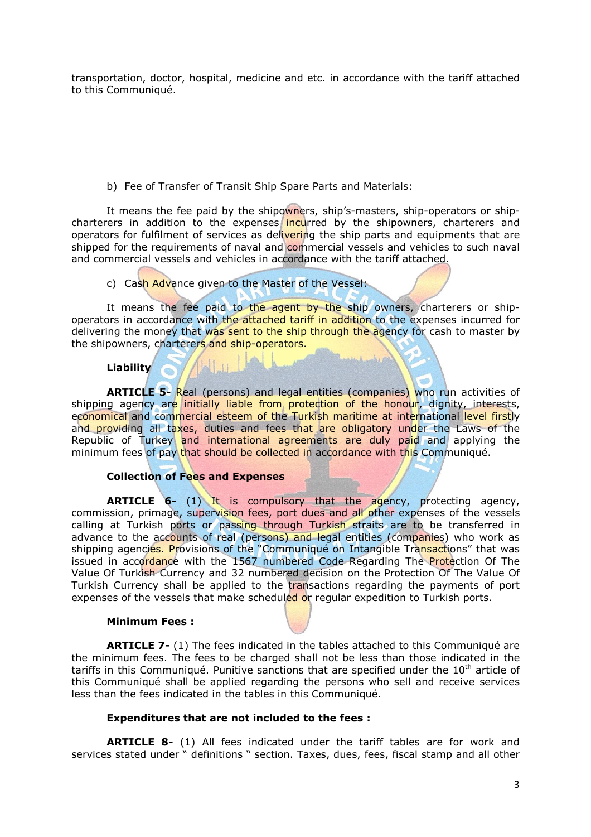transportation, doctor, hospital, medicine and etc. in accordance with the tariff attached to this Communiqué.

b) Fee of Transfer of Transit Ship Spare Parts and Materials:

It means the fee paid by the shipowners, ship's-masters, ship-operators or shipcharterers in addition to the expenses incurred by the shipowners, charterers and operators for fulfilment of services as delivering the ship parts and equipments that are shipped for the requirements of naval and commercial vessels and vehicles to such naval and commercial vessels and vehicles in accordance with the tariff attached.

# c) Cash Advance given to the Master of the Vessel:

It means the fee paid to the agent by the ship owners, charterers or shipoperators in accordance with the attached tariff in addition to the expenses incurred for delivering the money that was sent to the ship through the agency for cash to master by the shipowners, charterers and ship-operators.

# **Liability**

**ARTICLE 5-** Real (persons) and legal entities (companies) who run activities of shipping agency are initially liable from protection of the honour, dignity, interests, economical and commercial esteem of the Turkish maritime at international level firstly and providing all taxes, duties and fees that are obligatory under the Laws of the Republic of Turkey and international agreements are duly paid and applying the minimum fees of pay that should be collected in accordance with this Communiqué.

# **Collection of Fees and Expenses**

**ARTICLE 6-** (1) It is compulsory that the agency, protecting agency, commission, primage, supervision fees, port dues and all other expenses of the vessels calling at Turkish ports or passing through Turkish straits are to be transferred in advance to the accounts of real (persons) and legal entities (companies) who work as shipping agencies. Provisions of the "Communiqué on Intangible Transactions" that was issued in accordance with the 1567 numbered Code Regarding The Protection Of The Value Of Turkish Currency and 32 numbered decision on the Protection Of The Value Of Turkish Currency shall be applied to the transactions regarding the payments of port expenses of the vessels that make scheduled or regular expedition to Turkish ports.

#### **Minimum Fees :**

**ARTICLE 7-** (1) The fees indicated in the tables attached to this Communiqué are the minimum fees. The fees to be charged shall not be less than those indicated in the tariffs in this Communiqué. Punitive sanctions that are specified under the  $10<sup>th</sup>$  article of this Communiqué shall be applied regarding the persons who sell and receive services less than the fees indicated in the tables in this Communiqué.

#### **Expenditures that are not included to the fees :**

**ARTICLE 8-** (1) All fees indicated under the tariff tables are for work and services stated under " definitions " section. Taxes, dues, fees, fiscal stamp and all other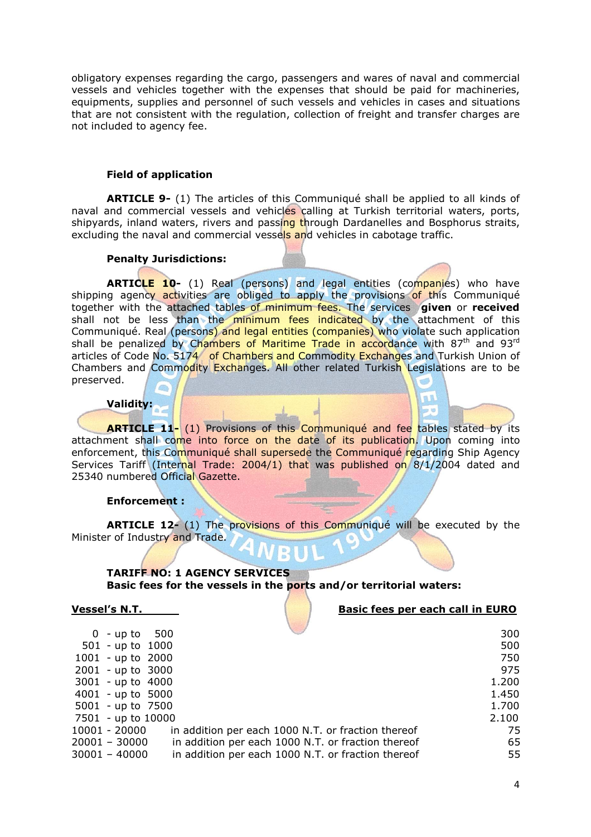obligatory expenses regarding the cargo, passengers and wares of naval and commercial vessels and vehicles together with the expenses that should be paid for machineries, equipments, supplies and personnel of such vessels and vehicles in cases and situations that are not consistent with the regulation, collection of freight and transfer charges are not included to agency fee.

#### **Field of application**

**ARTICLE 9-** (1) The articles of this Communiqué shall be applied to all kinds of naval and commercial vessels and vehicles calling at Turkish territorial waters, ports, shipyards, inland waters, rivers and passing through Dardanelles and Bosphorus straits, excluding the naval and commercial vessels and vehicles in cabotage traffic.

#### **Penalty Jurisdictions:**

ARTICLE 10- (1) Real (persons) and legal entities (companies) who have shipping agency activities are obliged to apply the provisions of this Communiqué together with the attached tables of minimum fees. The services **given** or **received**  shall not be less than the minimum fees indicated by the attachment of this Communiqué. Real (persons) and legal entities (companies) who violate such application shall be penalized by Chambers of Maritime Trade in accordance with 87<sup>th</sup> and 93<sup>rd</sup> articles of Code No. 5174 of Chambers and Commodity Exchanges and Turkish Union of Chambers and Commodity Exchanges. All other related Turkish Legislations are to be preserved.

#### **Validity:**

**ARTICLE 11-** (1) Provisions of this Communiqué and fee tables stated by its attachment shall come into force on the date of its publication. Upon coming into enforcement, this Communiqué shall supersede the Communiqué regarding Ship Agency Services Tariff (Internal Trade: 2004/1) that was published on 8/1/2004 dated and 25340 numbered Official Gazette.

#### **Enforcement :**

**ARTICLE 12-** (1) The provisions of this Communiqué will be executed by the Minister of Industry and Trade.

### **TARIFF NO: 1 AGENCY SERVICES Basic fees for the vessels in the ports and/or territorial waters:**

**Vessel's N.T. Basic fees per each call in EURO** 

| $0 - up to 500$     |                                                    | 300   |
|---------------------|----------------------------------------------------|-------|
| $501 - up to 1000$  |                                                    | 500   |
| $1001 - up to 2000$ |                                                    | 750   |
| $2001 - up to 3000$ |                                                    | 975   |
| $3001 - up to 4000$ |                                                    | 1.200 |
| $4001 - up to 5000$ |                                                    | 1.450 |
| 5001 - up to 7500   |                                                    | 1.700 |
| 7501 - up to 10000  |                                                    | 2.100 |
| 10001 - 20000       | in addition per each 1000 N.T. or fraction thereof | 75    |
| $20001 - 30000$     | in addition per each 1000 N.T. or fraction thereof | 65    |
| $30001 - 40000$     | in addition per each 1000 N.T. or fraction thereof | 55    |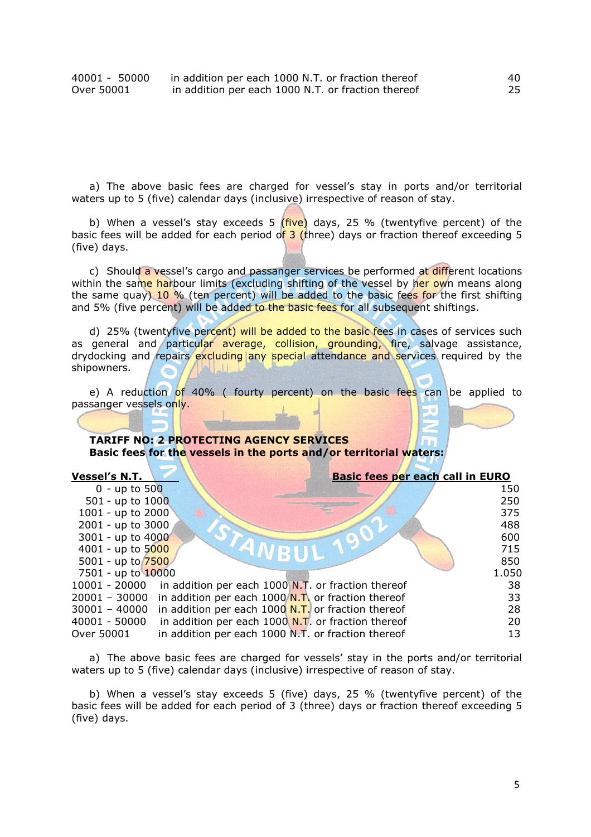| 40001 - 50000 | in addition per each 1000 N.T. or fraction thereof | 40 |
|---------------|----------------------------------------------------|----|
| Over 50001    | in addition per each 1000 N.T. or fraction thereof | 25 |

a) The above basic fees are charged for vessel's stay in ports and/or territorial waters up to 5 (five) calendar days (inclusive) irrespective of reason of stay.

b) When a vessel's stay exceeds 5  $(five)$  days, 25 % (twentyfive percent) of the basic fees will be added for each period of  $3$  (three) days or fraction thereof exceeding 5 (five) days.

c) Should a vessel's cargo and passanger services be performed at different locations within the same harbour limits (excluding shifting of the vessel by her own means along the same quay) 10 % (ten percent) will be added to the basic fees for the first shifting and 5% (five percent) will be added to the basic fees for all subsequent shiftings.

d) 25% (twentyfive percent) will be added to the basic fees in cases of services such as general and particular average, collision, grounding, fire, salvage assistance, drydocking and repairs excluding any special attendance and services required by the shipowners.

e) A reduction of 40% ( fourty percent) on the basic fees can be applied to passanger vessels only.

#### **TARIFF NO: 2 PROTECTING AGENCY SERVICES Basic fees for the vessels in the ports and/or territorial waters:**

| <b>Vessel's N.T.</b>                                                     | <b>Basic fees per each call in EURO</b> |
|--------------------------------------------------------------------------|-----------------------------------------|
| $0 - up to 500$                                                          | 150                                     |
| 501 - up to 1000                                                         | 250                                     |
| 1001 - up to $2000$                                                      | 375                                     |
| 2001 - up to 3000                                                        | 488                                     |
| 3001 - up to 4000                                                        | 600                                     |
| 4001 - up to 5000                                                        | 715                                     |
| 5001 - up to $7500$                                                      | 850                                     |
| 7501 - up to 10000                                                       | 1.050                                   |
| in addition per each $1000$ N.T. or fraction thereof<br>$10001 - 20000$  | 38                                      |
| in addition per each $1000/N$ . To r fraction thereof<br>$20001 - 30000$ | 33                                      |
| in addition per each $1000$ N.T. or fraction thereof<br>$30001 - 40000$  | 28                                      |
| in addition per each $1000$ N.T. or fraction thereof<br>40001 - 50000    | 20                                      |
| in addition per each 1000 N.T. or fraction thereof<br>Over 50001         | 13                                      |

a) The above basic fees are charged for vessels' stay in the ports and/or territorial waters up to 5 (five) calendar days (inclusive) irrespective of reason of stay.

b) When a vessel's stay exceeds 5 (five) days, 25 % (twentyfive percent) of the basic fees will be added for each period of 3 (three) days or fraction thereof exceeding 5 (five) days.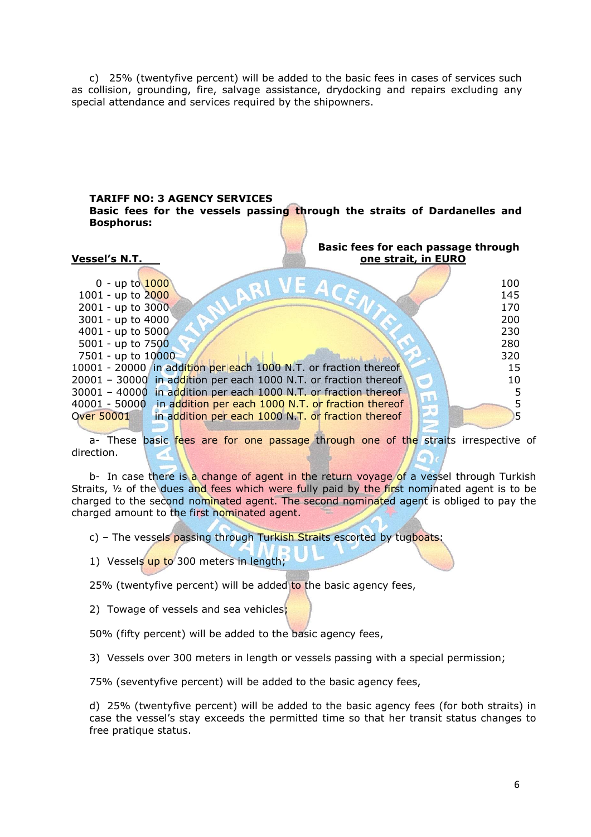c) 25% (twentyfive percent) will be added to the basic fees in cases of services such as collision, grounding, fire, salvage assistance, drydocking and repairs excluding any special attendance and services required by the shipowners.

#### **TARIFF NO: 3 AGENCY SERVICES Basic fees for the vessels passing through the straits of Dardanelles and Bosphorus:**

| <b>Vessel's N.T.</b>                                             | Basic fees for each passage through<br>one strait, in EURO |
|------------------------------------------------------------------|------------------------------------------------------------|
| $0 - up to 1000$                                                 | 100                                                        |
| 1001 - up to 2000                                                | 145                                                        |
| 2001 - up to 3000                                                | 170                                                        |
| 3001 - up to 4000                                                | 200                                                        |
| 4001 - up to 5000                                                | 230                                                        |
| 5001 - up to 7500                                                | 280                                                        |
| 7501 - up to 10000                                               | 320                                                        |
| 10001 - 20000 in addition per each 1000 N.T. or fraction thereof | 15                                                         |
| 20001 - 30000 in addition per each 1000 N.T. or fraction thereof | 10                                                         |
| 30001 - 40000 in addition per each 1000 N.T. or fraction thereof | 5                                                          |
| 40001 - 50000 in addition per each 1000 N.T. or fraction thereof |                                                            |
| <b>Over 50001</b>                                                | in addition per each 1000 N.T. or fraction thereof<br>5.   |

a- These basic fees are for one passage through one of the straits irrespective of direction.

b- In case there is a change of agent in the return voyage of a vessel through Turkish Straits,  $\frac{1}{2}$  of the dues and fees which were fully paid by the first nominated agent is to be charged to the second nominated agent. The second nominated agent is obliged to pay the charged amount to the first nominated agent.

c) - The vessels passing through Turkish Straits escorted by tugboats:

1) Vessels up to 300 meters in length;

25% (twentyfive percent) will be added to the basic agency fees,

2) Towage of vessels and sea vehicles;

50% (fifty percent) will be added to the basic agency fees,

3) Vessels over 300 meters in length or vessels passing with a special permission;

75% (seventyfive percent) will be added to the basic agency fees,

d) 25% (twentyfive percent) will be added to the basic agency fees (for both straits) in case the vessel's stay exceeds the permitted time so that her transit status changes to free pratique status.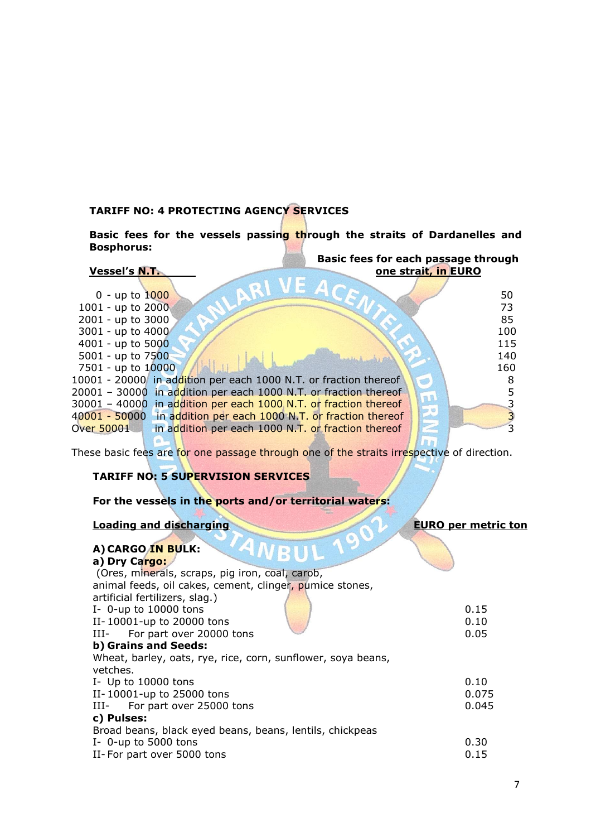# **TARIFF NO: 4 PROTECTING AGENCY SERVICES**

**Basic fees for the vessels passing through the straits of Dardanelles and Bosphorus:** 

|                      | Basic fees for each passage through                              |                     |     |
|----------------------|------------------------------------------------------------------|---------------------|-----|
| <b>Vessel's N.T.</b> |                                                                  | one strait, in EURO |     |
|                      |                                                                  |                     |     |
| $0 - up to 1000$     |                                                                  |                     | 50  |
| 1001 - up to 2000    |                                                                  |                     | 73  |
| 2001 - up to 3000    |                                                                  |                     | 85  |
| 3001 - up to 4000    |                                                                  |                     | 100 |
| 4001 - up to $5000$  |                                                                  |                     | 115 |
| 5001 - up to 7500    |                                                                  |                     | 140 |
| 7501 - up to 10000   |                                                                  |                     | 160 |
|                      | 10001 - 20000 in addition per each 1000 N.T. or fraction thereof |                     |     |
|                      | 20001 - 30000 in addition per each 1000 N.T. or fraction thereof |                     |     |
|                      | 30001 - 40000 in addition per each 1000 N.T. or fraction thereof |                     |     |
|                      | 40001 - 50000 in addition per each 1000 N.T. or fraction thereof |                     |     |
| Over 50001           | in addition per each 1000 N.T. or fraction thereof               |                     |     |

These basic fees are for one passage through one of the straits irrespective of direction.

# **TARIFF NO: 5 SUPERVISION SERVICES**

**For the vessels in the ports and/or territorial waters:** 

# **Loading and discharging EURO per metric ton**

百万

| 0.15  |
|-------|
| 0.10  |
| 0.05  |
|       |
|       |
|       |
| 0.10  |
| 0.075 |
| 0.045 |
|       |
|       |
| 0.30  |
| 0.15  |
|       |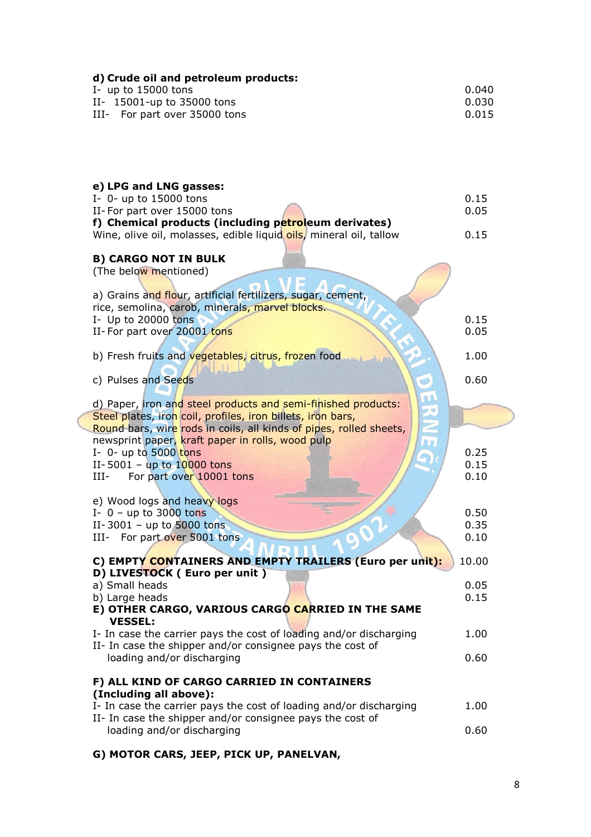| d) Crude oil and petroleum products:<br>I- up to $15000$ tons<br>II- 15001-up to 35000 tons<br>III- For part over 35000 tons                                                                                                                                                                                                                           | 0.040<br>0.030<br>0.015                       |
|--------------------------------------------------------------------------------------------------------------------------------------------------------------------------------------------------------------------------------------------------------------------------------------------------------------------------------------------------------|-----------------------------------------------|
| e) LPG and LNG gasses:<br>I- 0- up to 15000 tons<br>II-For part over 15000 tons<br>f) Chemical products (including petroleum derivates)<br>Wine, olive oil, molasses, edible liquid oils, mineral oil, tallow<br><b>B) CARGO NOT IN BULK</b><br>(The below mentioned)                                                                                  | 0.15<br>0.05<br>0.15                          |
| a) Grains and flour, artificial fertilizers, sugar, cement,<br>rice, semolina, carob, minerals, marvel blocks.<br>I- Up to 20000 tons<br>II-For part over 20001 tons                                                                                                                                                                                   | 0.15<br>0.05                                  |
| b) Fresh fruits and vegetables, citrus, frozen food<br>c) Pulses and Seeds                                                                                                                                                                                                                                                                             | 1.00<br>0.60                                  |
| d) Paper, iron and steel products and semi-finished products:<br>Steel plates, iron coil, profiles, iron billets, iron bars,<br>Round bars, wire rods in coils, all kinds of pipes, rolled sheets,<br>newsprint paper, kraft paper in rolls, wood pulp<br>I- $0$ - up to 5000 tons<br>II-5001 - up to $10000$ tons<br>For part over 10001 tons<br>III- | 11<br>E<br><b>R.D</b><br>0.25<br>0.15<br>0.10 |
| e) Wood logs and heavy logs<br>I- $0$ – up to 3000 tons<br>II-3001 - up to 5000 tons<br>III- For part over 5001 tons                                                                                                                                                                                                                                   | 0.50<br>0.35<br>0.10                          |
| C) EMPTY CONTAINERS AND EMPTY TRAILERS (Euro per unit):<br>D) LIVESTOCK ( Euro per unit )<br>a) Small heads<br>b) Large heads<br>E) OTHER CARGO, VARIOUS CARGO CARRIED IN THE SAME<br><b>VESSEL:</b>                                                                                                                                                   | 10.00<br>0.05<br>0.15                         |
| I- In case the carrier pays the cost of loading and/or discharging<br>II- In case the shipper and/or consignee pays the cost of<br>loading and/or discharging                                                                                                                                                                                          | 1.00<br>0.60                                  |
| F) ALL KIND OF CARGO CARRIED IN CONTAINERS<br>(Including all above):                                                                                                                                                                                                                                                                                   |                                               |
| I- In case the carrier pays the cost of loading and/or discharging<br>II- In case the shipper and/or consignee pays the cost of                                                                                                                                                                                                                        | 1.00                                          |
| loading and/or discharging                                                                                                                                                                                                                                                                                                                             | 0.60                                          |

**G) MOTOR CARS, JEEP, PICK UP, PANELVAN,**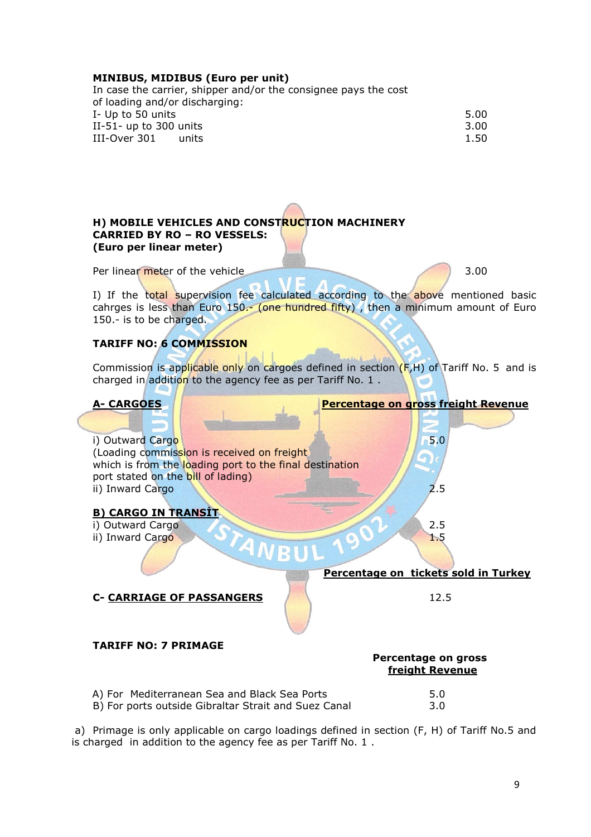### **MINIBUS, MIDIBUS (Euro per unit)**

| In case the carrier, shipper and/or the consignee pays the cost |      |
|-----------------------------------------------------------------|------|
| of loading and/or discharging:                                  |      |
| I- Up to 50 units                                               | 5.00 |
| II-51- up to 300 units                                          | 3.00 |
| III-Over 301<br>units                                           | 1.50 |
|                                                                 |      |

# **H) MOBILE VEHICLES AND CONSTRUCTION MACHINERY CARRIED BY RO – RO VESSELS: (Euro per linear meter)**

Per linear meter of the vehicle 3.00

I) If the total supervision fee calculated according to the above mentioned basic cahrges is less than Euro  $150 -$  (one hundred fifty), then a minimum amount of Euro 150.- is to be charged.

# **TARIFF NO: 6 COMMISSION**

Commission is applicable only on cargoes defined in section  $(F,H)$  of Tariff No. 5 and is charged in addition to the agency fee as per Tariff No. 1.



a) Primage is only applicable on cargo loadings defined in section (F, H) of Tariff No.5 and is charged in addition to the agency fee as per Tariff No. 1 .